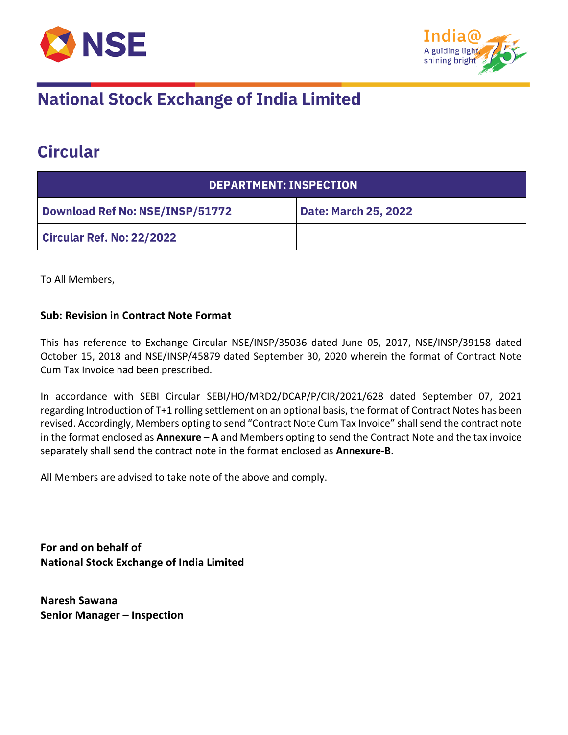



## **National Stock Exchange of India Limited**

## **Circular**

| <b>DEPARTMENT: INSPECTION</b>          |                             |  |
|----------------------------------------|-----------------------------|--|
| <b>Download Ref No: NSE/INSP/51772</b> | <b>Date: March 25, 2022</b> |  |
| <b>Circular Ref. No: 22/2022</b>       |                             |  |

To All Members,

## **Sub: Revision in Contract Note Format**

This has reference to Exchange Circular NSE/INSP/35036 dated June 05, 2017, NSE/INSP/39158 dated October 15, 2018 and NSE/INSP/45879 dated September 30, 2020 wherein the format of Contract Note Cum Tax Invoice had been prescribed.

In accordance with SEBI Circular SEBI/HO/MRD2/DCAP/P/CIR/2021/628 dated September 07, 2021 regarding Introduction of T+1 rolling settlement on an optional basis, the format of Contract Notes has been revised. Accordingly, Members opting to send "Contract Note Cum Tax Invoice" shall send the contract note in the format enclosed as **Annexure – A** and Members opting to send the Contract Note and the tax invoice separately shall send the contract note in the format enclosed as **Annexure-B**.

All Members are advised to take note of the above and comply.

**For and on behalf of National Stock Exchange of India Limited**

**Naresh Sawana Senior Manager – Inspection**